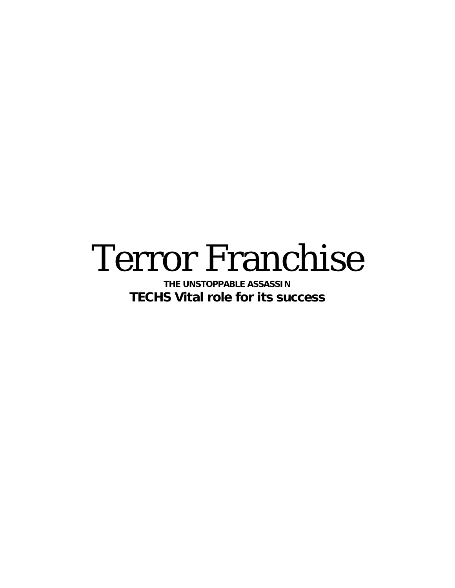# Terror Franchise

**THE UNSTOPPABLE ASSASSIN TECHS Vital role for its success**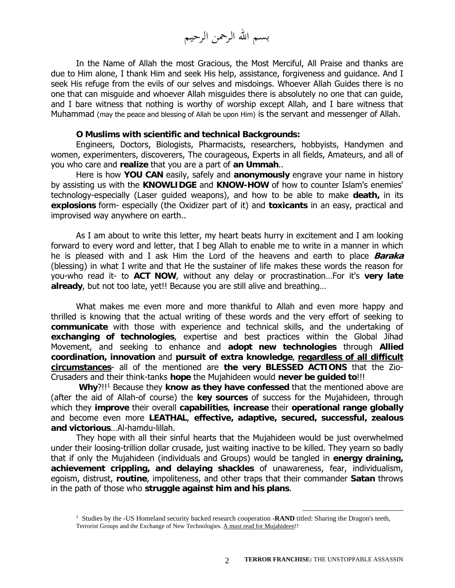بسم االله الرحمن الرحيم

In the Name of Allah the most Gracious, the Most Merciful, All Praise and thanks are due to Him alone, I thank Him and seek His help, assistance, forgiveness and guidance. And I seek His refuge from the evils of our selves and misdoings. Whoever Allah Guides there is no one that can misguide and whoever Allah misguides there is absolutely no one that can guide, and I bare witness that nothing is worthy of worship except Allah, and I bare witness that Muhammad (may the peace and blessing of Allah be upon Him) is the servant and messenger of Allah.

#### **O Muslims with scientific and technical Backgrounds:**

Engineers, Doctors, Biologists, Pharmacists, researchers, hobbyists, Handymen and women, experimenters, discoverers, The courageous, Experts in all fields, Amateurs, and all of you who care and **realize** that you are a part of **an Ummah**..

Here is how **YOU CAN** easily, safely and **anonymously** engrave your name in history by assisting us with the **KNOWLIDGE** and **KNOW-HOW** of how to counter Islam's enemies' technology-especially (Laser guided weapons), and how to be able to make **death,** in its **explosions** form- especially (the Oxidizer part of it) and **toxicants** in an easy, practical and improvised way anywhere on earth..

As I am about to write this letter, my heart beats hurry in excitement and I am looking forward to every word and letter, that I beg Allah to enable me to write in a manner in which he is pleased with and I ask Him the Lord of the heavens and earth to place **Baraka** (blessing) in what I write and that He the sustainer of life makes these words the reason for you-who read it- to **ACT NOW**, without any delay or procrastination…For it's **very late already**, but not too late, yet!! Because you are still alive and breathing…

 What makes me even more and more thankful to Allah and even more happy and thrilled is knowing that the actual writing of these words and the very effort of seeking to **communicate** with those with experience and technical skills, and the undertaking of **exchanging of technologies**, expertise and best practices within the Global Jihad Movement, and seeking to enhance and **adopt new technologies** through **Allied coordination, innovation** and **pursuit of extra knowledge**, **regardless of all difficult circumstances**- all of the mentioned are **the very BLESSED ACTIONS** that the Zio-Crusaders and their think-tanks **hope** the Mujahideen would **never be guided to**!!!

**Why**?!!1 Because they **know as they have confessed** that the mentioned above are (after the aid of Allah-of course) the **key sources** of success for the Mujahideen, through which they **improve** their overall **capabilities**, **increase** their **operational range globally** and become even more **LEATHAL**, **effective, adaptive, secured, successful, zealous and victorious**…Al-hamdu-lillah.

They hope with all their sinful hearts that the Mujahideen would be just overwhelmed under their loosing-trillion dollar crusade, just waiting inactive to be killed. They yearn so badly that if only the Mujahideen (individuals and Groups) would be tangled in **energy draining, achievement crippling, and delaying shackles** of unawareness, fear, individualism, egoism, distrust, **routine**, impoliteness, and other traps that their commander **Satan** throws in the path of those who **struggle against him and his plans**.

<sup>&</sup>lt;sup>1</sup> Studies by the -US Homeland security backed research cooperation **-RAND** titled: Sharing the Dragon's teeth, Terrorist Groups and the Exchange of New Technologies. A must read for Mujahideen!!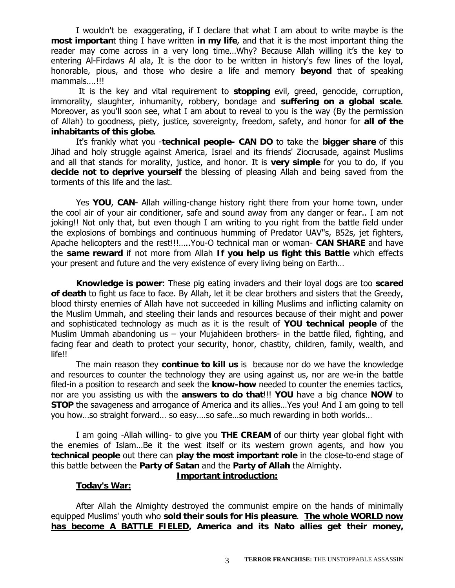I wouldn't be exaggerating, if I declare that what I am about to write maybe is the **most importan**t thing I have written **in my life**, and that it is the most important thing the reader may come across in a very long time…Why? Because Allah willing it's the key to entering Al-Firdaws Al ala, It is the door to be written in history's few lines of the loyal, honorable, pious, and those who desire a life and memory **beyond** that of speaking mammals….!!!

 It is the key and vital requirement to **stopping** evil, greed, genocide, corruption, immorality, slaughter, inhumanity, robbery, bondage and **suffering on a global scale**. Moreover, as you'll soon see, what I am about to reveal to you is the way (By the permission of Allah) to goodness, piety, justice, sovereignty, freedom, safety, and honor for **all of the inhabitants of this globe**.

It's frankly what you -**technical people- CAN DO** to take the **bigger share** of this Jihad and holy struggle against America, Israel and its friends' Ziocrusade, against Muslims and all that stands for morality, justice, and honor. It is **very simple** for you to do, if you **decide not to deprive yourself** the blessing of pleasing Allah and being saved from the torments of this life and the last.

Yes **YOU**, **CAN**- Allah willing-change history right there from your home town, under the cool air of your air conditioner, safe and sound away from any danger or fear.. I am not joking!! Not only that, but even though I am writing to you right from the battle field under the explosions of bombings and continuous humming of Predator UAV''s, B52s, jet fighters, Apache helicopters and the rest!!!…..You-O technical man or woman- **CAN SHARE** and have the **same reward** if not more from Allah **If you help us fight this Battle** which effects your present and future and the very existence of every living being on Earth…

**Knowledge is power**: These pig eating invaders and their loyal dogs are too **scared of death** to fight us face to face. By Allah, let it be clear brothers and sisters that the Greedy, blood thirsty enemies of Allah have not succeeded in killing Muslims and inflicting calamity on the Muslim Ummah, and steeling their lands and resources because of their might and power and sophisticated technology as much as it is the result of **YOU technical people** of the Muslim Ummah abandoning us – your Mujahideen brothers- in the battle filed, fighting, and facing fear and death to protect your security, honor, chastity, children, family, wealth, and life!!

The main reason they **continue to kill us** is because nor do we have the knowledge and resources to counter the technology they are using against us, nor are we-in the battle filed-in a position to research and seek the **know-how** needed to counter the enemies tactics, nor are you assisting us with the **answers to do that**!!! **YOU** have a big chance **NOW** to **STOP** the savageness and arrogance of America and its allies…Yes you! And I am going to tell you how…so straight forward… so easy….so safe…so much rewarding in both worlds…

I am going -Allah willing- to give you **THE CREAM** of our thirty year global fight with the enemies of Islam…Be it the west itself or its western grown agents, and how you **technical people** out there can **play the most important role** in the close-to-end stage of this battle between the **Party of Satan** and the **Party of Allah** the Almighty. **Important introduction:** 

#### **Today's War:**

After Allah the Almighty destroyed the communist empire on the hands of minimally equipped Muslims' youth who **sold their souls for His pleasure**. **The whole WORLD now has become A BATTLE FIELED, America and its Nato allies get their money,**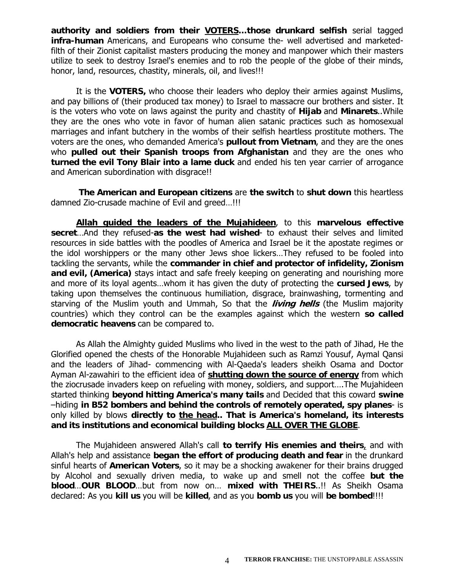**authority and soldiers from their VOTERS…those drunkard selfish** serial tagged **infra-human** Americans, and Europeans who consume the- well advertised and marketedfilth of their Zionist capitalist masters producing the money and manpower which their masters utilize to seek to destroy Israel's enemies and to rob the people of the globe of their minds, honor, land, resources, chastity, minerals, oil, and lives!!!

It is the **VOTERS,** who choose their leaders who deploy their armies against Muslims, and pay billions of (their produced tax money) to Israel to massacre our brothers and sister. It is the voters who vote on laws against the purity and chastity of **Hijab** and **Minarets**..While they are the ones who vote in favor of human alien satanic practices such as homosexual marriages and infant butchery in the wombs of their selfish heartless prostitute mothers. The voters are the ones, who demanded America's **pullout from Vietnam**, and they are the ones who **pulled out their Spanish troops from Afghanistan** and they are the ones who **turned the evil Tony Blair into a lame duck** and ended his ten year carrier of arrogance and American subordination with disgrace!!

**The American and European citizens** are **the switch** to **shut down** this heartless damned Zio-crusade machine of Evil and greed…!!!

**Allah guided the leaders of the Mujahideen**, to this **marvelous effective secret**…And they refused-**as the west had wished**- to exhaust their selves and limited resources in side battles with the poodles of America and Israel be it the apostate regimes or the idol worshippers or the many other Jews shoe lickers…They refused to be fooled into tackling the servants, while the **commander in chief and protector of infidelity, Zionism and evil, (America)** stays intact and safe freely keeping on generating and nourishing more and more of its loyal agents…whom it has given the duty of protecting the **cursed Jews**, by taking upon themselves the continuous humiliation, disgrace, brainwashing, tormenting and starving of the Muslim youth and Ummah, So that the **living hells** (the Muslim majority countries) which they control can be the examples against which the western **so called democratic heavens** can be compared to.

As Allah the Almighty guided Muslims who lived in the west to the path of Jihad, He the Glorified opened the chests of the Honorable Mujahideen such as Ramzi Yousuf, Aymal Qansi and the leaders of Jihad- commencing with Al-Qaeda's leaders sheikh Osama and Doctor Ayman Al-zawahiri to the efficient idea of **shutting down the source of energy** from which the ziocrusade invaders keep on refueling with money, soldiers, and support….The Mujahideen started thinking **beyond hitting America's many tails** and Decided that this coward **swine** –hiding **in B52 bombers and behind the controls of remotely operated, spy planes**- is only killed by blows **directly to the head.. That is America's homeland, its interests and its institutions and economical building blocks ALL OVER THE GLOBE**.

The Mujahideen answered Allah's call **to terrify His enemies and theirs**, and with Allah's help and assistance **began the effort of producing death and fear** in the drunkard sinful hearts of **American Voters**, so it may be a shocking awakener for their brains drugged by Alcohol and sexually driven media, to wake up and smell not the coffee **but the blood**…**OUR BLOOD**…but from now on… **mixed with THEIRS**..!! As Sheikh Osama declared: As you **kill us** you will be **killed**, and as you **bomb us** you will **be bombed**!!!!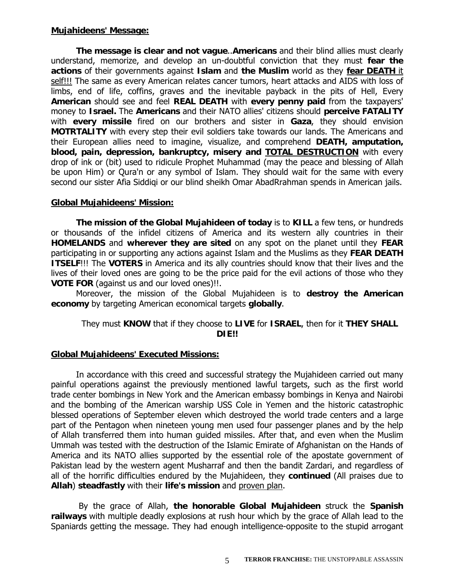## **Mujahideens' Message:**

**The message is clear and not vague**..**Americans** and their blind allies must clearly understand, memorize, and develop an un-doubtful conviction that they must **fear the actions** of their governments against **Islam** and **the Muslim** world as they **fear DEATH** it self!!! The same as every American relates cancer tumors, heart attacks and AIDS with loss of limbs, end of life, coffins, graves and the inevitable payback in the pits of Hell, Every **American** should see and feel **REAL DEATH** with **every penny paid** from the taxpayers' money to **Israel.** The **Americans** and their NATO allies' citizens should **perceive FATALITY**  with **every missile** fired on our brothers and sister in **Gaza**, they should envision **MOTRTALITY** with every step their evil soldiers take towards our lands. The Americans and their European allies need to imagine, visualize, and comprehend **DEATH, amputation, blood, pain, depression, bankruptcy, misery and TOTAL DESTRUCTION** with every drop of ink or (bit) used to ridicule Prophet Muhammad (may the peace and blessing of Allah be upon Him) or Qura'n or any symbol of Islam. They should wait for the same with every second our sister Afia Siddiqi or our blind sheikh Omar AbadRrahman spends in American jails.

## **Global Mujahideens' Mission:**

**The mission of the Global Mujahideen of today** is to **KILL** a few tens, or hundreds or thousands of the infidel citizens of America and its western ally countries in their **HOMELANDS** and **wherever they are sited** on any spot on the planet until they **FEAR** participating in or supporting any actions against Islam and the Muslims as they **FEAR DEATH ITSELF!!! The VOTERS** in America and its ally countries should know that their lives and the lives of their loved ones are going to be the price paid for the evil actions of those who they **VOTE FOR** (against us and our loved ones)!!.

Moreover, the mission of the Global Mujahideen is to **destroy the American economy** by targeting American economical targets **globally**.

## They must **KNOW** that if they choose to **LIVE** for **ISRAEL**, then for it **THEY SHALL DIE!!**

## **Global Mujahideens' Executed Missions:**

In accordance with this creed and successful strategy the Mujahideen carried out many painful operations against the previously mentioned lawful targets, such as the first world trade center bombings in New York and the American embassy bombings in Kenya and Nairobi and the bombing of the American warship USS Cole in Yemen and the historic catastrophic blessed operations of September eleven which destroyed the world trade centers and a large part of the Pentagon when nineteen young men used four passenger planes and by the help of Allah transferred them into human guided missiles. After that, and even when the Muslim Ummah was tested with the destruction of the Islamic Emirate of Afghanistan on the Hands of America and its NATO allies supported by the essential role of the apostate government of Pakistan lead by the western agent Musharraf and then the bandit Zardari, and regardless of all of the horrific difficulties endured by the Mujahideen, they **continued** (All praises due to **Allah**) **steadfastly** with their **life's mission** and proven plan.

 By the grace of Allah, **the honorable Global Mujahideen** struck the **Spanish railways** with multiple deadly explosions at rush hour which by the grace of Allah lead to the Spaniards getting the message. They had enough intelligence-opposite to the stupid arrogant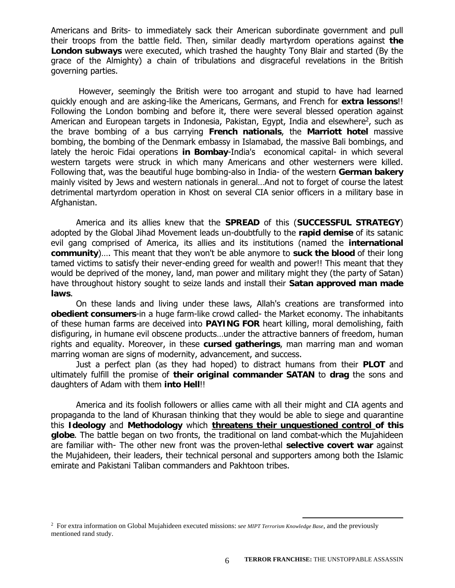Americans and Brits- to immediately sack their American subordinate government and pull their troops from the battle field. Then, similar deadly martyrdom operations against **the London subways** were executed, which trashed the haughty Tony Blair and started (By the grace of the Almighty) a chain of tribulations and disgraceful revelations in the British governing parties.

 However, seemingly the British were too arrogant and stupid to have had learned quickly enough and are asking-like the Americans, Germans, and French for **extra lessons**!! Following the London bombing and before it, there were several blessed operation against American and European targets in Indonesia, Pakistan, Egypt, India and elsewhere<sup>2</sup>, such as the brave bombing of a bus carrying **French nationals**, the **Marriott hotel** massive bombing, the bombing of the Denmark embassy in Islamabad, the massive Bali bombings, and lately the heroic Fidai operations **in Bombay**-India's economical capital- in which several western targets were struck in which many Americans and other westerners were killed. Following that, was the beautiful huge bombing-also in India- of the western **German bakery** mainly visited by Jews and western nationals in general…And not to forget of course the latest detrimental martyrdom operation in Khost on several CIA senior officers in a military base in Afghanistan.

America and its allies knew that the **SPREAD** of this (**SUCCESSFUL STRATEGY**) adopted by the Global Jihad Movement leads un-doubtfully to the **rapid demise** of its satanic evil gang comprised of America, its allies and its institutions (named the **international community**)…. This meant that they won't be able anymore to **suck the blood** of their long tamed victims to satisfy their never-ending greed for wealth and power!! This meant that they would be deprived of the money, land, man power and military might they (the party of Satan) have throughout history sought to seize lands and install their **Satan approved man made laws**.

On these lands and living under these laws, Allah's creations are transformed into **obedient consumers**-in a huge farm-like crowd called- the Market economy. The inhabitants of these human farms are deceived into **PAYING FOR** heart killing, moral demolishing, faith disfiguring, in humane evil obscene products…under the attractive banners of freedom, human rights and equality. Moreover, in these **cursed gatherings**, man marring man and woman marring woman are signs of modernity, advancement, and success.

Just a perfect plan (as they had hoped) to distract humans from their **PLOT** and ultimately fulfill the promise of **their original commander SATAN** to **drag** the sons and daughters of Adam with them **into Hell**!!

America and its foolish followers or allies came with all their might and CIA agents and propaganda to the land of Khurasan thinking that they would be able to siege and quarantine this **Ideology** and **Methodology** which **threatens their unquestioned control of this globe**. The battle began on two fronts, the traditional on land combat-which the Mujahideen are familiar with- The other new front was the proven-lethal **selective covert war** against the Mujahideen, their leaders, their technical personal and supporters among both the Islamic emirate and Pakistani Taliban commanders and Pakhtoon tribes.

 <sup>2</sup> For extra information on Global Mujahideen executed missions: *see MIPT Terrorism Knowledge Base*, and the previously mentioned rand study.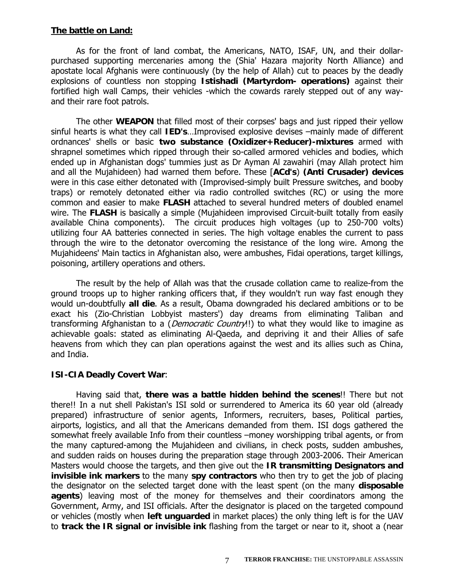## **The battle on Land:**

As for the front of land combat, the Americans, NATO, ISAF, UN, and their dollarpurchased supporting mercenaries among the (Shia' Hazara majority North Alliance) and apostate local Afghanis were continuously (by the help of Allah) cut to peaces by the deadly explosions of countless non stopping **Istishadi (Martyrdom- operations)** against their fortified high wall Camps, their vehicles -which the cowards rarely stepped out of any wayand their rare foot patrols.

The other **WEAPON** that filled most of their corpses' bags and just ripped their yellow sinful hearts is what they call **IED's**…Improvised explosive devises –mainly made of different ordnances' shells or basic **two substance (Oxidizer+Reducer)-mixtures** armed with shrapnel sometimes which ripped through their so-called armored vehicles and bodies, which ended up in Afghanistan dogs' tummies just as Dr Ayman Al zawahiri (may Allah protect him and all the Mujahideen) had warned them before. These [**ACd's**) **(Anti Crusader) devices** were in this case either detonated with (Improvised-simply built Pressure switches, and booby traps) or remotely detonated either via radio controlled switches (RC) or using the more common and easier to make **FLASH** attached to several hundred meters of doubled enamel wire. The **FLASH** is basically a simple (Mujahideen improvised Circuit-built totally from easily available China components). The circuit produces high voltages (up to 250-700 volts) utilizing four AA batteries connected in series. The high voltage enables the current to pass through the wire to the detonator overcoming the resistance of the long wire. Among the Mujahideens' Main tactics in Afghanistan also, were ambushes, Fidai operations, target killings, poisoning, artillery operations and others.

The result by the help of Allah was that the crusade collation came to realize-from the ground troops up to higher ranking officers that, if they wouldn't run way fast enough they would un-doubtfully **all die**. As a result, Obama downgraded his declared ambitions or to be exact his (Zio-Christian Lobbyist masters') day dreams from eliminating Taliban and transforming Afghanistan to a (*Democratic Country*!!) to what they would like to imagine as achievable goals: stated as eliminating Al-Qaeda, and depriving it and their Allies of safe heavens from which they can plan operations against the west and its allies such as China, and India.

## **ISI-CIA Deadly Covert War**:

Having said that, **there was a battle hidden behind the scenes**!! There but not there!! In a nut shell Pakistan's ISI sold or surrendered to America its 60 year old (already prepared) infrastructure of senior agents, Informers, recruiters, bases, Political parties, airports, logistics, and all that the Americans demanded from them. ISI dogs gathered the somewhat freely available Info from their countless –money worshipping tribal agents, or from the many captured-among the Mujahideen and civilians, in check posts, sudden ambushes, and sudden raids on houses during the preparation stage through 2003-2006. Their American Masters would choose the targets, and then give out the **IR transmitting Designators and invisible ink markers** to the many **spy contractors** who then try to get the job of placing the designator on the selected target done with the least spent (on the many **disposable agents**) leaving most of the money for themselves and their coordinators among the Government, Army, and ISI officials. After the designator is placed on the targeted compound or vehicles (mostly when **left unguarded** in market places) the only thing left is for the UAV to **track the IR signal or invisible ink** flashing from the target or near to it, shoot a (near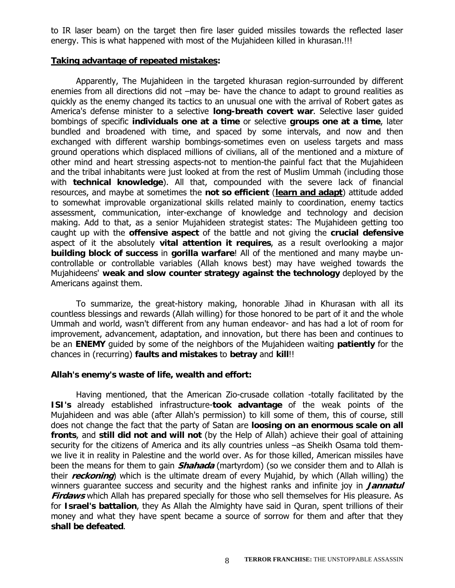to IR laser beam) on the target then fire laser guided missiles towards the reflected laser energy. This is what happened with most of the Mujahideen killed in khurasan.!!!

## **Taking advantage of repeated mistakes:**

Apparently, The Mujahideen in the targeted khurasan region-surrounded by different enemies from all directions did not –may be- have the chance to adapt to ground realities as quickly as the enemy changed its tactics to an unusual one with the arrival of Robert gates as America's defense minister to a selective **long-breath covert war**. Selective laser guided bombings of specific **individuals one at a time** or selective **groups one at a time**, later bundled and broadened with time, and spaced by some intervals, and now and then exchanged with different warship bombings-sometimes even on useless targets and mass ground operations which displaced millions of civilians, all of the mentioned and a mixture of other mind and heart stressing aspects-not to mention-the painful fact that the Mujahideen and the tribal inhabitants were just looked at from the rest of Muslim Ummah (including those with **technical knowledge**). All that, compounded with the severe lack of financial resources, and maybe at sometimes the **not so efficient** (**learn and adapt**) attitude added to somewhat improvable organizational skills related mainly to coordination, enemy tactics assessment, communication, inter-exchange of knowledge and technology and decision making. Add to that, as a senior Mujahideen strategist states: The Mujahideen getting too caught up with the **offensive aspect** of the battle and not giving the **crucial defensive** aspect of it the absolutely **vital attention it requires**, as a result overlooking a major **building block of success** in **gorilla warfare**! All of the mentioned and many maybe uncontrollable or controllable variables (Allah knows best) may have weighed towards the Mujahideens' **weak and slow counter strategy against the technology** deployed by the Americans against them.

To summarize, the great-history making, honorable Jihad in Khurasan with all its countless blessings and rewards (Allah willing) for those honored to be part of it and the whole Ummah and world, wasn't different from any human endeavor- and has had a lot of room for improvement, advancement, adaptation, and innovation, but there has been and continues to be an **ENEMY** guided by some of the neighbors of the Mujahideen waiting **patiently** for the chances in (recurring) **faults and mistakes** to **betray** and **kill**!!

## **Allah's enemy's waste of life, wealth and effort:**

Having mentioned, that the American Zio-crusade collation -totally facilitated by the **ISI's** already established infrastructure-**took advantage** of the weak points of the Mujahideen and was able (after Allah's permission) to kill some of them, this of course, still does not change the fact that the party of Satan are **loosing on an enormous scale on all fronts**, and **still did not and will not** (by the Help of Allah) achieve their goal of attaining security for the citizens of America and its ally countries unless –as Sheikh Osama told themwe live it in reality in Palestine and the world over. As for those killed, American missiles have been the means for them to gain **Shahada** (martyrdom) (so we consider them and to Allah is their **reckoning**) which is the ultimate dream of every Mujahid, by which (Allah willing) the winners guarantee success and security and the highest ranks and infinite joy in **Jannatul Firdaws** which Allah has prepared specially for those who sell themselves for His pleasure. As for **Israel's battalion**, they As Allah the Almighty have said in Quran, spent trillions of their money and what they have spent became a source of sorrow for them and after that they **shall be defeated**.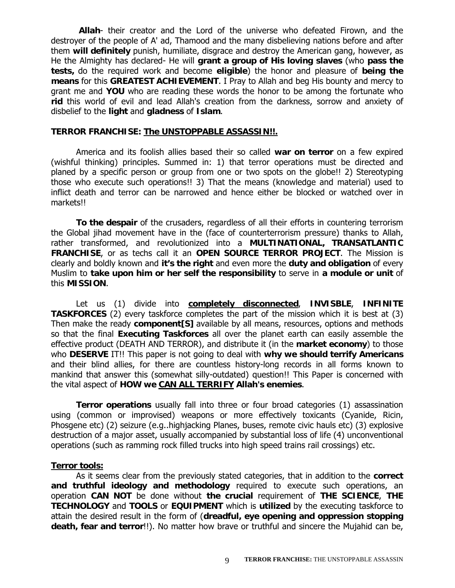**Allah**- their creator and the Lord of the universe who defeated Firown, and the destroyer of the people of A' ad, Thamood and the many disbelieving nations before and after them **will definitely** punish, humiliate, disgrace and destroy the American gang, however, as He the Almighty has declared- He will **grant a group of His loving slaves** (who **pass the tests,** do the required work and become **eligible**) the honor and pleasure of **being the means** for this **GREATEST ACHIEVEMENT**. I Pray to Allah and beg His bounty and mercy to grant me and **YOU** who are reading these words the honor to be among the fortunate who **rid** this world of evil and lead Allah's creation from the darkness, sorrow and anxiety of disbelief to the **light** and **gladness** of **Islam**.

#### **TERROR FRANCHISE: The UNSTOPPABLE ASSASSIN!!.**

America and its foolish allies based their so called **war on terror** on a few expired (wishful thinking) principles. Summed in: 1) that terror operations must be directed and planed by a specific person or group from one or two spots on the globe!! 2) Stereotyping those who execute such operations!! 3) That the means (knowledge and material) used to inflict death and terror can be narrowed and hence either be blocked or watched over in markets!!

**To the despair** of the crusaders, regardless of all their efforts in countering terrorism the Global jihad movement have in the (face of counterterrorism pressure) thanks to Allah, rather transformed, and revolutionized into a **MULTINATIONAL, TRANSATLANTIC FRANCHISE**, or as techs call it an **OPEN SOURCE TERROR PROJECT**. The Mission is clearly and boldly known and **it's the right** and even more the **duty and obligation** of every Muslim to **take upon him or her self the responsibility** to serve in **a module or unit** of this **MISSION**.

Let us (1) divide into **completely disconnected**, **INVISBLE**, **INFINITE TASKFORCES** (2) every taskforce completes the part of the mission which it is best at (3) Then make the ready **component[S]** available by all means, resources, options and methods so that the final **Executing Taskforces** all over the planet earth can easily assemble the effective product (DEATH AND TERROR), and distribute it (in the **market economy**) to those who **DESERVE** IT!! This paper is not going to deal with **why we should terrify Americans** and their blind allies, for there are countless history-long records in all forms known to mankind that answer this (somewhat silly-outdated) question!! This Paper is concerned with the vital aspect of **HOW we CAN ALL TERRIFY Allah's enemies**.

**Terror operations** usually fall into three or four broad categories (1) assassination using (common or improvised) weapons or more effectively toxicants (Cyanide, Ricin, Phosgene etc) (2) seizure (e.g..highjacking Planes, buses, remote civic hauls etc) (3) explosive destruction of a major asset, usually accompanied by substantial loss of life (4) unconventional operations (such as ramming rock filled trucks into high speed trains rail crossings) etc.

## **Terror tools:**

As it seems clear from the previously stated categories, that in addition to the **correct and truthful ideology and methodology** required to execute such operations, an operation **CAN NOT** be done without **the crucial** requirement of **THE SCIENCE**, **THE TECHNOLOGY** and **TOOLS** or **EQUIPMENT** which is **utilized** by the executing taskforce to attain the desired result in the form of (**dreadful, eye opening and oppression stopping death, fear and terror**!!). No matter how brave or truthful and sincere the Mujahid can be,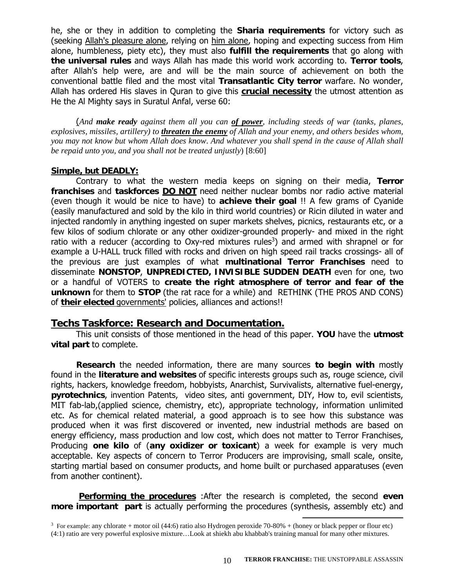he, she or they in addition to completing the **Sharia requirements** for victory such as (seeking Allah's pleasure alone, relying on him alone, hoping and expecting success from Him alone, humbleness, piety etc), they must also **fulfill the requirements** that go along with **the universal rules** and ways Allah has made this world work according to. **Terror tools**, after Allah's help were, are and will be the main source of achievement on both the conventional battle filed and the most vital **Transatlantic City terror** warfare. No wonder, Allah has ordered His slaves in Quran to give this **crucial necessity** the utmost attention as He the Al Mighty says in Suratul Anfal, verse 60:

(*And make ready against them all you can of power, including steeds of war (tanks, planes, explosives, missiles, artillery) to threaten the enemy of Allah and your enemy, and others besides whom, you may not know but whom Allah does know*. *And whatever you shall spend in the cause of Allah shall be repaid unto you, and you shall not be treated unjustly*) [8:60]

#### **Simple, but DEADLY:**

 Contrary to what the western media keeps on signing on their media, **Terror franchises** and **taskforces DO NOT** need neither nuclear bombs nor radio active material (even though it would be nice to have) to **achieve their goal** !! A few grams of Cyanide (easily manufactured and sold by the kilo in third world countries) or Ricin diluted in water and injected randomly in anything ingested on super markets shelves, picnics, restaurants etc, or a few kilos of sodium chlorate or any other oxidizer-grounded properly- and mixed in the right ratio with a reducer (according to Oxy-red mixtures rules<sup>3</sup>) and armed with shrapnel or for example a U-HALL truck filled with rocks and driven on high speed rail tracks crossings- all of the previous are just examples of what **multinational Terror Franchises** need to disseminate **NONSTOP**, **UNPREDICTED, INVISIBLE SUDDEN DEATH** even for one, two or a handful of VOTERS to **create the right atmosphere of terror and fear of the unknown** for them to **STOP** (the rat race for a while) and RETHINK (THE PROS AND CONS) of **their elected** governments' policies, alliances and actions!!

# **Techs Taskforce: Research and Documentation.**

This unit consists of those mentioned in the head of this paper. **YOU** have the **utmost vital part** to complete.

**Research** the needed information, there are many sources **to begin with** mostly found in the **literature and websites** of specific interests groups such as, rouge science, civil rights, hackers, knowledge freedom, hobbyists, Anarchist, Survivalists, alternative fuel-energy, **pyrotechnics**, invention Patents, video sites, anti government, DIY, How to, evil scientists, MIT fab-lab, (applied science, chemistry, etc), appropriate technology, information unlimited etc. As for chemical related material, a good approach is to see how this substance was produced when it was first discovered or invented, new industrial methods are based on energy efficiency, mass production and low cost, which does not matter to Terror Franchises, Producing **one kilo** of (**any oxidizer or toxicant**) a week for example is very much acceptable. Key aspects of concern to Terror Producers are improvising, small scale, onsite, starting martial based on consumer products, and home built or purchased apparatuses (even from another continent).

**Performing the procedures** :After the research is completed, the second **even more important part** is actually performing the procedures (synthesis, assembly etc) and

 <sup>3</sup> For example: any chlorate + motor oil (44:6) ratio also Hydrogen peroxide 70-80% + (honey or black pepper or flour etc) (4:1) ratio are very powerful explosive mixture…Look at shiekh abu khabbab's training manual for many other mixtures.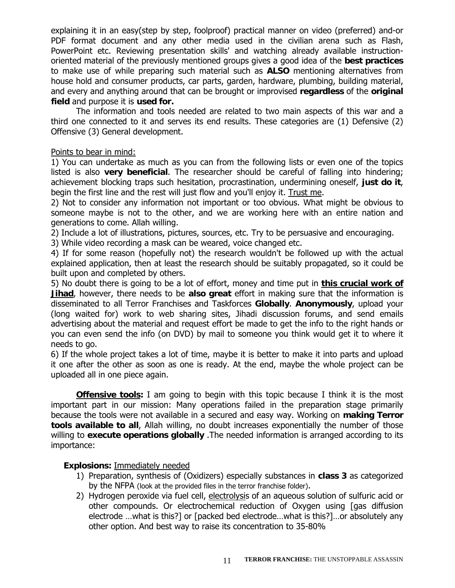explaining it in an easy(step by step, foolproof) practical manner on video (preferred) and-or PDF format document and any other media used in the civilian arena such as Flash, PowerPoint etc. Reviewing presentation skills' and watching already available instructionoriented material of the previously mentioned groups gives a good idea of the **best practices** to make use of while preparing such material such as **ALSO** mentioning alternatives from house hold and consumer products, car parts, garden, hardware, plumbing, building material, and every and anything around that can be brought or improvised **regardless** of the **original field** and purpose it is **used for.**

The information and tools needed are related to two main aspects of this war and a third one connected to it and serves its end results. These categories are (1) Defensive (2) Offensive (3) General development.

## Points to bear in mind:

1) You can undertake as much as you can from the following lists or even one of the topics listed is also **very beneficial**. The researcher should be careful of falling into hindering; achievement blocking traps such hesitation, procrastination, undermining oneself, **just do it**, begin the first line and the rest will just flow and you'll enjoy it. Trust me.

2) Not to consider any information not important or too obvious. What might be obvious to someone maybe is not to the other, and we are working here with an entire nation and generations to come. Allah willing.

2) Include a lot of illustrations, pictures, sources, etc. Try to be persuasive and encouraging.

3) While video recording a mask can be weared, voice changed etc.

4) If for some reason (hopefully not) the research wouldn't be followed up with the actual explained application, then at least the research should be suitably propagated, so it could be built upon and completed by others.

5) No doubt there is going to be a lot of effort, money and time put in **this crucial work of Jihad**, however, there needs to be **also great** effort in making sure that the information is disseminated to all Terror Franchises and Taskforces **Globally**. **Anonymously**, upload your (long waited for) work to web sharing sites, Jihadi discussion forums, and send emails advertising about the material and request effort be made to get the info to the right hands or you can even send the info (on DVD) by mail to someone you think would get it to where it needs to go.

6) If the whole project takes a lot of time, maybe it is better to make it into parts and upload it one after the other as soon as one is ready. At the end, maybe the whole project can be uploaded all in one piece again.

**Offensive tools:** I am going to begin with this topic because I think it is the most important part in our mission: Many operations failed in the preparation stage primarily because the tools were not available in a secured and easy way. Working on **making Terror tools available to all**, Allah willing, no doubt increases exponentially the number of those willing to **execute operations globally** .The needed information is arranged according to its importance:

**Explosions:** Immediately needed

- 1) Preparation, synthesis of (Oxidizers) especially substances in **class 3** as categorized by the NFPA (look at the provided files in the terror franchise folder).
- 2) Hydrogen peroxide via fuel cell, electrolysis of an aqueous solution of sulfuric acid or other compounds. Or electrochemical reduction of Oxygen using [gas diffusion electrode …what is this?] or [packed bed electrode…what is this?]…or absolutely any other option. And best way to raise its concentration to 35-80%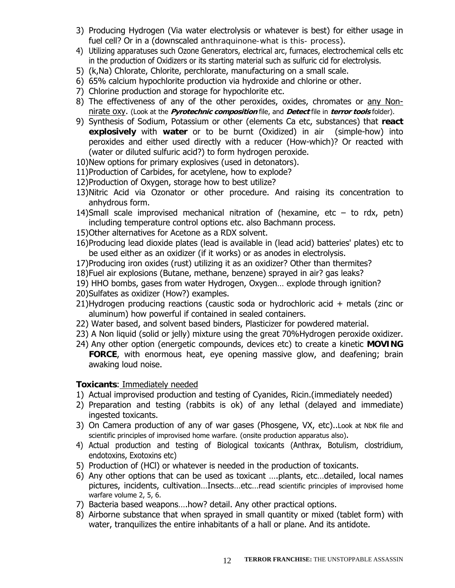- 3) Producing Hydrogen (Via water electrolysis or whatever is best) for either usage in fuel cell? Or in a (downscaled *anthraquinone-what is this- process*).
- 4) Utilizing apparatuses such Ozone Generators, electrical arc, furnaces, electrochemical cells etc in the production of Oxidizers or its starting material such as sulfuric cid for electrolysis.
- 5) (k,Na) Chlorate, Chlorite, perchlorate, manufacturing on a small scale.
- 6) 65% calcium hypochlorite production via hydroxide and chlorine or other.
- 7) Chlorine production and storage for hypochlorite etc.
- 8) The effectiveness of any of the other peroxides, oxides, chromates or any Nonnirate oxy. (Look at the **Pyrotechnic composition** file, and **Detect** file in **terror tools** folder).
- 9) Synthesis of Sodium, Potassium or other (elements Ca etc, substances) that **react explosively** with **water** or to be burnt (Oxidized) in air (simple-how) into peroxides and either used directly with a reducer (How-which)? Or reacted with (water or diluted sulfuric acid?) to form hydrogen peroxide.
- 10)New options for primary explosives (used in detonators).
- 11)Production of Carbides, for acetylene, how to explode?
- 12)Production of Oxygen, storage how to best utilize?
- 13)Nitric Acid via Ozonator or other procedure. And raising its concentration to anhydrous form.
- 14)Small scale improvised mechanical nitration of (hexamine, etc to rdx, petn) including temperature control options etc. also Bachmann process.
- 15)Other alternatives for Acetone as a RDX solvent.
- 16)Producing lead dioxide plates (lead is available in (lead acid) batteries' plates) etc to be used either as an oxidizer (if it works) or as anodes in electrolysis.
- 17)Producing iron oxides (rust) utilizing it as an oxidizer? Other than thermites?
- 18)Fuel air explosions (Butane, methane, benzene) sprayed in air? gas leaks?
- 19) HHO bombs, gases from water Hydrogen, Oxygen… explode through ignition?
- 20)Sulfates as oxidizer (How?) examples.
- 21)Hydrogen producing reactions (caustic soda or hydrochloric acid + metals (zinc or aluminum) how powerful if contained in sealed containers.
- 22) Water based, and solvent based binders, Plasticizer for powdered material.
- 23) A Non liquid (solid or jelly) mixture using the great 70%Hydrogen peroxide oxidizer.
- 24) Any other option (energetic compounds, devices etc) to create a kinetic **MOVING FORCE**, with enormous heat, eye opening massive glow, and deafening; brain awaking loud noise.

## **Toxicants**: Immediately needed

- 1) Actual improvised production and testing of Cyanides, Ricin.(immediately needed)
- 2) Preparation and testing (rabbits is ok) of any lethal (delayed and immediate) ingested toxicants.
- 3) On Camera production of any of war gases (Phosgene, VX, etc)..Look at NbK file and scientific principles of improvised home warfare. (onsite production apparatus also).
- 4) Actual production and testing of Biological toxicants (Anthrax, Botulism, clostridium, endotoxins, Exotoxins etc)
- 5) Production of (HCl) or whatever is needed in the production of toxicants.
- 6) Any other options that can be used as toxicant ….plants, etc…detailed, local names pictures, incidents, cultivation…Insects…etc…read scientific principles of improvised home warfare volume 2, 5, 6.
- 7) Bacteria based weapons….how? detail. Any other practical options.
- 8) Airborne substance that when sprayed in small quantity or mixed (tablet form) with water, tranquilizes the entire inhabitants of a hall or plane. And its antidote.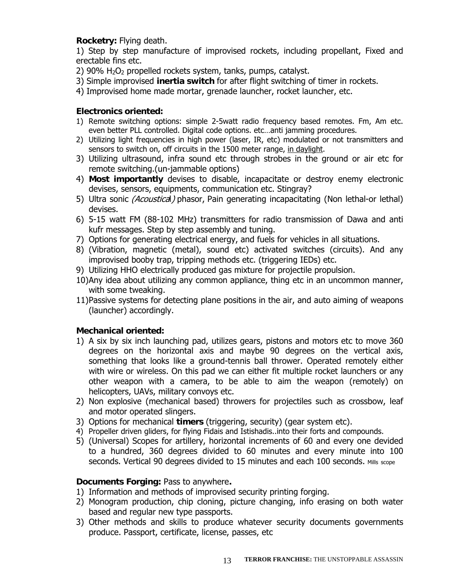**Rocketry:** Flying death.

1) Step by step manufacture of improvised rockets, including propellant, Fixed and erectable fins etc.

- 2) 90% H2O2 propelled rockets system, tanks, pumps, catalyst.
- 3) Simple improvised **inertia switch** for after flight switching of timer in rockets.
- 4) Improvised home made mortar, grenade launcher, rocket launcher, etc.

## **Electronics oriented:**

- 1) Remote switching options: simple 2-5watt radio frequency based remotes. Fm, Am etc. even better PLL controlled. Digital code options. etc…anti jamming procedures.
- 2) Utilizing light frequencies in high power (laser, IR, etc) modulated or not transmitters and sensors to switch on, off circuits in the 1500 meter range, in daylight.
- 3) Utilizing ultrasound, infra sound etc through strobes in the ground or air etc for remote switching.(un-jammable options)
- 4) **Most importantly** devises to disable, incapacitate or destroy enemy electronic devises, sensors, equipments, communication etc. Stingray?
- 5) Ultra sonic *(Acoustical)* phasor, Pain generating incapacitating (Non lethal-or lethal) devises.
- 6) 5-15 watt FM (88-102 MHz) transmitters for radio transmission of Dawa and anti kufr messages. Step by step assembly and tuning.
- 7) Options for generating electrical energy, and fuels for vehicles in all situations.
- 8) (Vibration, magnetic (metal), sound etc) activated switches (circuits). And any improvised booby trap, tripping methods etc. (triggering IEDs) etc.
- 9) Utilizing HHO electrically produced gas mixture for projectile propulsion.
- 10)Any idea about utilizing any common appliance, thing etc in an uncommon manner, with some tweaking.
- 11)Passive systems for detecting plane positions in the air, and auto aiming of weapons (launcher) accordingly.

# **Mechanical oriented:**

- 1) A six by six inch launching pad, utilizes gears, pistons and motors etc to move 360 degrees on the horizontal axis and maybe 90 degrees on the vertical axis, something that looks like a ground-tennis ball thrower. Operated remotely either with wire or wireless. On this pad we can either fit multiple rocket launchers or any other weapon with a camera, to be able to aim the weapon (remotely) on helicopters, UAVs, military convoys etc.
- 2) Non explosive (mechanical based) throwers for projectiles such as crossbow, leaf and motor operated slingers.
- 3) Options for mechanical **timers** (triggering, security) (gear system etc).
- 4) Propeller driven gliders, for flying Fidais and Istishadis..into their forts and compounds.
- 5) (Universal) Scopes for artillery, horizontal increments of 60 and every one devided to a hundred, 360 degrees divided to 60 minutes and every minute into 100 seconds. Vertical 90 degrees divided to 15 minutes and each 100 seconds. Mills scope

## **Documents Forging:** Pass to anywhere**.**

- 1) Information and methods of improvised security printing forging.
- 2) Monogram production, chip cloning, picture changing, info erasing on both water based and regular new type passports.
- 3) Other methods and skills to produce whatever security documents governments produce. Passport, certificate, license, passes, etc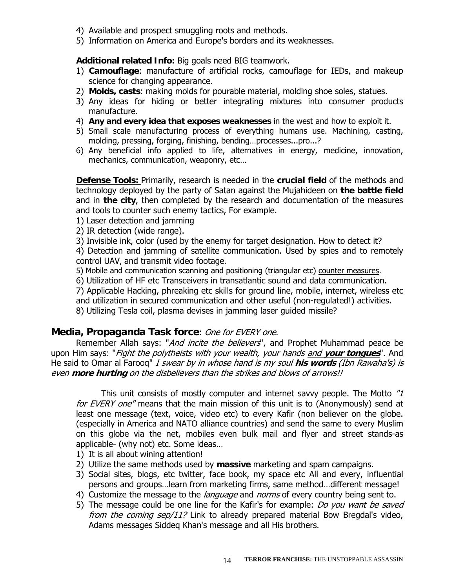- 4) Available and prospect smuggling roots and methods.
- 5) Information on America and Europe's borders and its weaknesses.

**Additional related Info:** Big goals need BIG teamwork.

- 1) **Camouflage**: manufacture of artificial rocks, camouflage for IEDs, and makeup science for changing appearance.
- 2) **Molds, casts**: making molds for pourable material, molding shoe soles, statues.
- 3) Any ideas for hiding or better integrating mixtures into consumer products manufacture.
- 4) **Any and every idea that exposes weaknesses** in the west and how to exploit it.
- 5) Small scale manufacturing process of everything humans use. Machining, casting, molding, pressing, forging, finishing, bending…processes...pro...?
- 6) Any beneficial info applied to life, alternatives in energy, medicine, innovation, mechanics, communication, weaponry, etc…

**Defense Tools:** Primarily, research is needed in the **crucial field** of the methods and technology deployed by the party of Satan against the Mujahideen on **the battle field** and in **the city**, then completed by the research and documentation of the measures and tools to counter such enemy tactics, For example.

- 1) Laser detection and jamming
- 2) IR detection (wide range).

3) Invisible ink, color (used by the enemy for target designation. How to detect it?

4) Detection and jamming of satellite communication. Used by spies and to remotely control UAV, and transmit video footage.

5) Mobile and communication scanning and positioning (triangular etc) counter measures.

- 6) Utilization of HF etc Transceivers in transatlantic sound and data communication.
- 7) Applicable Hacking, phreaking etc skills for ground line, mobile, internet, wireless etc

and utilization in secured communication and other useful (non-regulated!) activities.

8) Utilizing Tesla coil, plasma devises in jamming laser guided missile?

## **Media, Propaganda Task force**: One for EVERY one.

Remember Allah says: "And incite the believers", and Prophet Muhammad peace be upon Him says: "Fight the polytheists with your wealth, your hands and **your tongues**". And He said to Omar al Farooq" I swear by in whose hand is my soul **his words** (Ibn Rawaha's) is even **more hurting** on the disbelievers than the strikes and blows of arrows!!

This unit consists of mostly computer and internet savvy people. The Motto "1 for EVERY one" means that the main mission of this unit is to (Anonymously) send at least one message (text, voice, video etc) to every Kafir (non believer on the globe. (especially in America and NATO alliance countries) and send the same to every Muslim on this globe via the net, mobiles even bulk mail and flyer and street stands-as applicable- (why not) etc. Some ideas…

- 1) It is all about wining attention!
- 2) Utilize the same methods used by **massive** marketing and spam campaigns.
- 3) Social sites, blogs, etc twitter, face book, my space etc All and every, influential persons and groups…learn from marketing firms, same method…different message!
- 4) Customize the message to the *language* and *norms* of every country being sent to.
- 5) The message could be one line for the Kafir's for example: *Do you want be saved* from the coming sep/11? Link to already prepared material Bow Bregdal's video, Adams messages Siddeq Khan's message and all His brothers.